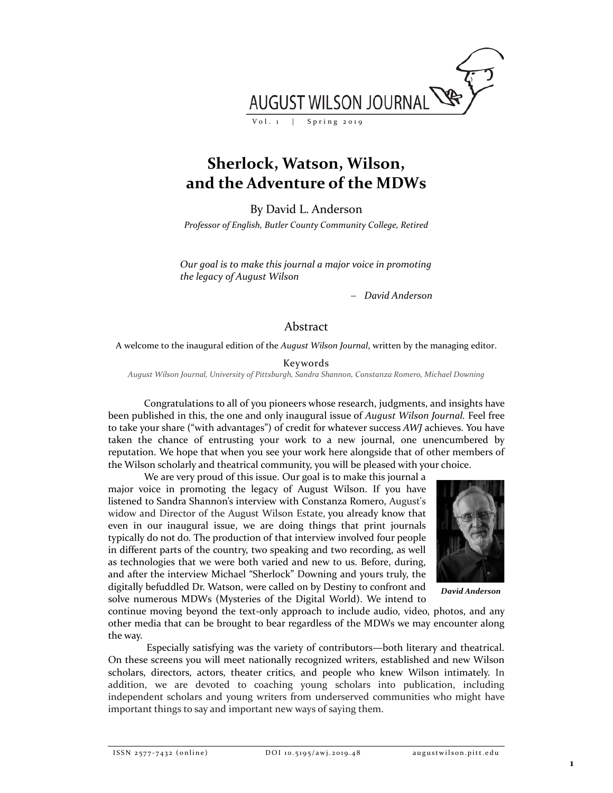

## **Sherlock, Watson, Wilson, and the Adventure of the MDWs**

By David L. Anderson

*Professor of English, Butler County Community College, Retired*

*Our goal is to make this journal a major voice in promoting the legacy of August Wilson*

− *David Anderson*

## Abstract

A welcome to the inaugural edition of the *August Wilson Journal*, written by the managing editor.

Keywords

*August Wilson Journal, University of Pittsburgh, Sandra Shannon, Constanza Romero, Michael Downing*

Congratulations to all of you pioneers whose research, judgments, and insights have been published in this, the one and only inaugural issue of *August Wilson Journal.* Feel free to take your share ("with advantages") of credit for whatever success *AWJ* achieves. You have taken the chance of entrusting your work to a new journal, one unencumbered by reputation. We hope that when you see your work here alongside that of other members of the Wilson scholarly and theatrical community, you will be pleased with your choice.

We are very proud of this issue. Our goal is to make this journal a major voice in promoting the legacy of August Wilson. If you have listened to Sandra Shannon's interview with Constanza Romero, August's widow and Director of the August Wilson Estate, you already know that even in our inaugural issue, we are doing things that print journals typically do not do. The production of that interview involved four people in different parts of the country, two speaking and two recording, as well as technologies that we were both varied and new to us. Before, during, and after the interview Michael "Sherlock" Downing and yours truly, the digitally befuddled Dr. Watson, were called on by Destiny to confront and solve numerous MDWs (Mysteries of the Digital World). We intend to



*David Anderson*

continue moving beyond the text-only approach to include audio, video, photos, and any other media that can be brought to bear regardless of the MDWs we may encounter along the way.

Especially satisfying was the variety of contributors—both literary and theatrical. On these screens you will meet nationally recognized writers, established and new Wilson scholars, directors, actors, theater critics, and people who knew Wilson intimately. In addition, we are devoted to coaching young scholars into publication, including independent scholars and young writers from underserved communities who might have important things to say and important new ways of saying them.